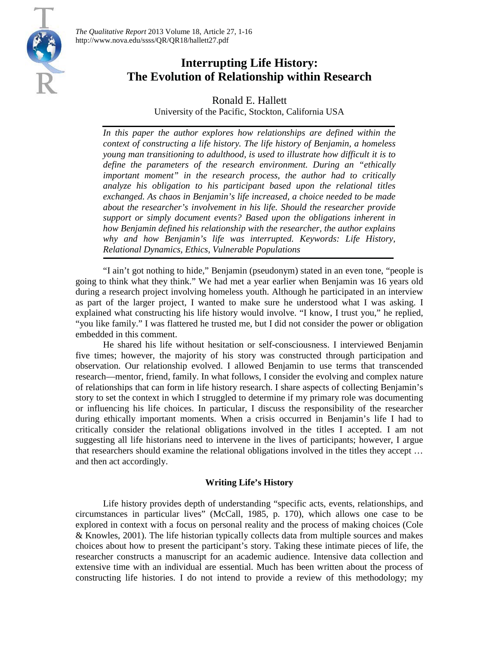

# **Interrupting Life History: The Evolution of Relationship within Research**

Ronald E. Hallett University of the Pacific, Stockton, California USA

In this paper the author explores how relationships are defined within the *context of constructing a life history. The life history of Benjamin, a homeless young man transitioning to adulthood, is used to illustrate how difficult it is to define the parameters of the research environment. During an "ethically important moment" in the research process, the author had to critically analyze his obligation to his participant based upon the relational titles exchanged. As chaos in Benjamin's life increased, a choice needed to be made about the researcher's involvement in his life. Should the researcher provide support or simply document events? Based upon the obligations inherent in how Benjamin defined his relationship with the researcher, the author explains why and how Benjamin's life was interrupted. Keywords: Life History, Relational Dynamics, Ethics, Vulnerable Populations*

"I ain't got nothing to hide," Benjamin (pseudonym) stated in an even tone, "people is going to think what they think." We had met a year earlier when Benjamin was 16 years old during a research project involving homeless youth. Although he participated in an interview as part of the larger project, I wanted to make sure he understood what I was asking. I explained what constructing his life history would involve. "I know, I trust you," he replied, "you like family." I was flattered he trusted me, but I did not consider the power or obligation embedded in this comment.

He shared his life without hesitation or self-consciousness. I interviewed Benjamin five times; however, the majority of his story was constructed through participation and observation. Our relationship evolved. I allowed Benjamin to use terms that transcended research—mentor, friend, family. In what follows, I consider the evolving and complex nature of relationships that can form in life history research. I share aspects of collecting Benjamin's story to set the context in which I struggled to determine if my primary role was documenting or influencing his life choices. In particular, I discuss the responsibility of the researcher during ethically important moments. When a crisis occurred in Benjamin's life I had to critically consider the relational obligations involved in the titles I accepted. I am not suggesting all life historians need to intervene in the lives of participants; however, I argue that researchers should examine the relational obligations involved in the titles they accept … and then act accordingly.

# **Writing Life's History**

Life history provides depth of understanding "specific acts, events, relationships, and circumstances in particular lives" (McCall, 1985, p. 170), which allows one case to be explored in context with a focus on personal reality and the process of making choices (Cole & Knowles, 2001). The life historian typically collects data from multiple sources and makes choices about how to present the participant's story. Taking these intimate pieces of life, the researcher constructs a manuscript for an academic audience. Intensive data collection and extensive time with an individual are essential. Much has been written about the process of constructing life histories. I do not intend to provide a review of this methodology; my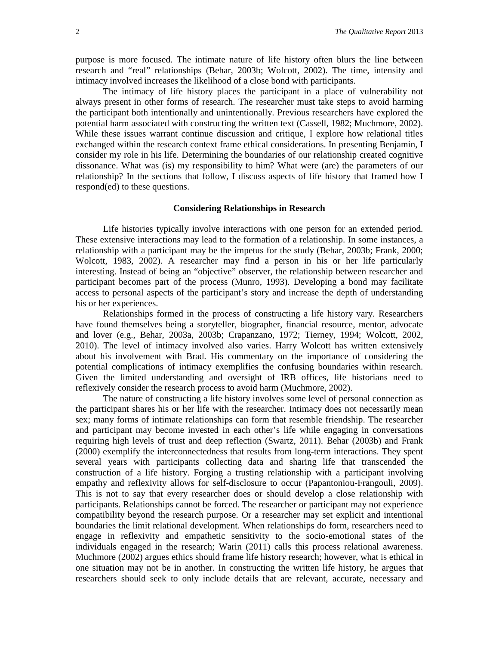purpose is more focused. The intimate nature of life history often blurs the line between research and "real" relationships (Behar, 2003b; Wolcott, 2002). The time, intensity and intimacy involved increases the likelihood of a close bond with participants.

The intimacy of life history places the participant in a place of vulnerability not always present in other forms of research. The researcher must take steps to avoid harming the participant both intentionally and unintentionally. Previous researchers have explored the potential harm associated with constructing the written text (Cassell, 1982; Muchmore, 2002). While these issues warrant continue discussion and critique, I explore how relational titles exchanged within the research context frame ethical considerations. In presenting Benjamin, I consider my role in his life. Determining the boundaries of our relationship created cognitive dissonance. What was (is) my responsibility to him? What were (are) the parameters of our relationship? In the sections that follow, I discuss aspects of life history that framed how I respond(ed) to these questions.

# **Considering Relationships in Research**

Life histories typically involve interactions with one person for an extended period. These extensive interactions may lead to the formation of a relationship. In some instances, a relationship with a participant may be the impetus for the study (Behar, 2003b; Frank, 2000; Wolcott, 1983, 2002). A researcher may find a person in his or her life particularly interesting. Instead of being an "objective" observer, the relationship between researcher and participant becomes part of the process (Munro, 1993). Developing a bond may facilitate access to personal aspects of the participant's story and increase the depth of understanding his or her experiences.

Relationships formed in the process of constructing a life history vary. Researchers have found themselves being a storyteller, biographer, financial resource, mentor, advocate and lover (e.g., Behar, 2003a, 2003b; Crapanzano, 1972; Tierney, 1994; Wolcott, 2002, 2010). The level of intimacy involved also varies. Harry Wolcott has written extensively about his involvement with Brad. His commentary on the importance of considering the potential complications of intimacy exemplifies the confusing boundaries within research. Given the limited understanding and oversight of IRB offices, life historians need to reflexively consider the research process to avoid harm (Muchmore, 2002).

The nature of constructing a life history involves some level of personal connection as the participant shares his or her life with the researcher. Intimacy does not necessarily mean sex; many forms of intimate relationships can form that resemble friendship. The researcher and participant may become invested in each other's life while engaging in conversations requiring high levels of trust and deep reflection (Swartz, 2011). Behar (2003b) and Frank (2000) exemplify the interconnectedness that results from long-term interactions. They spent several years with participants collecting data and sharing life that transcended the construction of a life history. Forging a trusting relationship with a participant involving empathy and reflexivity allows for self-disclosure to occur (Papantoniou-Frangouli, 2009). This is not to say that every researcher does or should develop a close relationship with participants. Relationships cannot be forced. The researcher or participant may not experience compatibility beyond the research purpose. Or a researcher may set explicit and intentional boundaries the limit relational development. When relationships do form, researchers need to engage in reflexivity and empathetic sensitivity to the socio-emotional states of the individuals engaged in the research; Warin (2011) calls this process relational awareness. Muchmore (2002) argues ethics should frame life history research; however, what is ethical in one situation may not be in another. In constructing the written life history, he argues that researchers should seek to only include details that are relevant, accurate, necessary and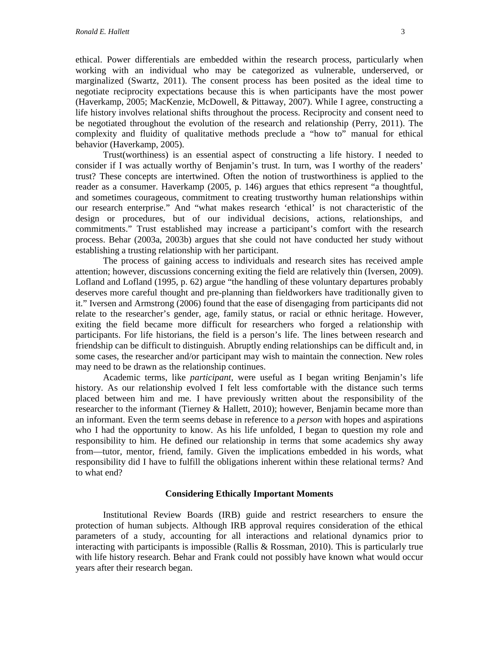ethical. Power differentials are embedded within the research process, particularly when working with an individual who may be categorized as vulnerable, underserved, or marginalized (Swartz, 2011). The consent process has been posited as the ideal time to negotiate reciprocity expectations because this is when participants have the most power (Haverkamp, 2005; MacKenzie, McDowell, & Pittaway, 2007). While I agree, constructing a life history involves relational shifts throughout the process. Reciprocity and consent need to be negotiated throughout the evolution of the research and relationship (Perry, 2011). The complexity and fluidity of qualitative methods preclude a "how to" manual for ethical behavior (Haverkamp, 2005).

Trust(worthiness) is an essential aspect of constructing a life history. I needed to consider if I was actually worthy of Benjamin's trust. In turn, was I worthy of the readers' trust? These concepts are intertwined. Often the notion of trustworthiness is applied to the reader as a consumer. Haverkamp (2005, p. 146) argues that ethics represent "a thoughtful, and sometimes courageous, commitment to creating trustworthy human relationships within our research enterprise." And "what makes research 'ethical' is not characteristic of the design or procedures, but of our individual decisions, actions, relationships, and commitments." Trust established may increase a participant's comfort with the research process. Behar (2003a, 2003b) argues that she could not have conducted her study without establishing a trusting relationship with her participant.

The process of gaining access to individuals and research sites has received ample attention; however, discussions concerning exiting the field are relatively thin (Iversen, 2009). Lofland and Lofland (1995, p. 62) argue "the handling of these voluntary departures probably deserves more careful thought and pre-planning than fieldworkers have traditionally given to it." Iversen and Armstrong (2006) found that the ease of disengaging from participants did not relate to the researcher's gender, age, family status, or racial or ethnic heritage. However, exiting the field became more difficult for researchers who forged a relationship with participants. For life historians, the field is a person's life. The lines between research and friendship can be difficult to distinguish. Abruptly ending relationships can be difficult and, in some cases, the researcher and/or participant may wish to maintain the connection. New roles may need to be drawn as the relationship continues.

Academic terms, like *participant*, were useful as I began writing Benjamin's life history. As our relationship evolved I felt less comfortable with the distance such terms placed between him and me. I have previously written about the responsibility of the researcher to the informant (Tierney & Hallett, 2010); however, Benjamin became more than an informant. Even the term seems debase in reference to a *person* with hopes and aspirations who I had the opportunity to know. As his life unfolded, I began to question my role and responsibility to him. He defined our relationship in terms that some academics shy away from—tutor, mentor, friend, family. Given the implications embedded in his words, what responsibility did I have to fulfill the obligations inherent within these relational terms? And to what end?

# **Considering Ethically Important Moments**

Institutional Review Boards (IRB) guide and restrict researchers to ensure the protection of human subjects. Although IRB approval requires consideration of the ethical parameters of a study, accounting for all interactions and relational dynamics prior to interacting with participants is impossible (Rallis  $\&$  Rossman, 2010). This is particularly true with life history research. Behar and Frank could not possibly have known what would occur years after their research began.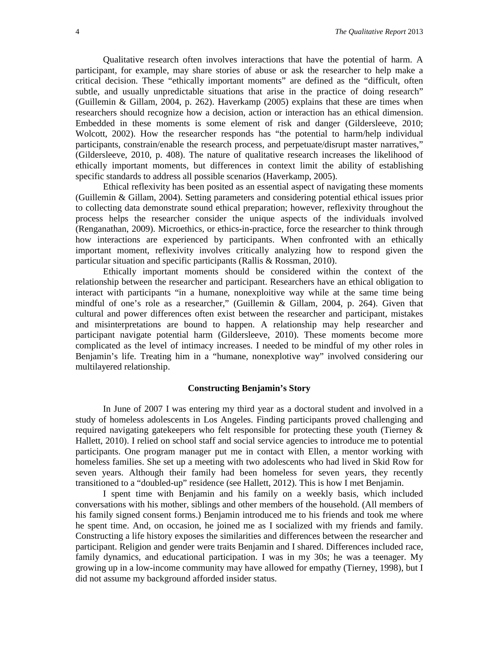Qualitative research often involves interactions that have the potential of harm. A participant, for example, may share stories of abuse or ask the researcher to help make a critical decision. These "ethically important moments" are defined as the "difficult, often subtle, and usually unpredictable situations that arise in the practice of doing research" (Guillemin & Gillam, 2004, p. 262). Haverkamp (2005) explains that these are times when researchers should recognize how a decision, action or interaction has an ethical dimension. Embedded in these moments is some element of risk and danger (Gildersleeve, 2010; Wolcott, 2002). How the researcher responds has "the potential to harm/help individual participants, constrain/enable the research process, and perpetuate/disrupt master narratives," (Gildersleeve, 2010, p. 408). The nature of qualitative research increases the likelihood of ethically important moments, but differences in context limit the ability of establishing specific standards to address all possible scenarios (Haverkamp, 2005).

Ethical reflexivity has been posited as an essential aspect of navigating these moments (Guillemin & Gillam, 2004). Setting parameters and considering potential ethical issues prior to collecting data demonstrate sound ethical preparation; however, reflexivity throughout the process helps the researcher consider the unique aspects of the individuals involved (Renganathan, 2009). Microethics, or ethics-in-practice, force the researcher to think through how interactions are experienced by participants. When confronted with an ethically important moment, reflexivity involves critically analyzing how to respond given the particular situation and specific participants (Rallis & Rossman, 2010).

Ethically important moments should be considered within the context of the relationship between the researcher and participant. Researchers have an ethical obligation to interact with participants "in a humane, nonexploitive way while at the same time being mindful of one's role as a researcher," (Guillemin & Gillam, 2004, p. 264). Given that cultural and power differences often exist between the researcher and participant, mistakes and misinterpretations are bound to happen. A relationship may help researcher and participant navigate potential harm (Gildersleeve, 2010). These moments become more complicated as the level of intimacy increases. I needed to be mindful of my other roles in Benjamin's life. Treating him in a "humane, nonexplotive way" involved considering our multilayered relationship.

# **Constructing Benjamin's Story**

In June of 2007 I was entering my third year as a doctoral student and involved in a study of homeless adolescents in Los Angeles. Finding participants proved challenging and required navigating gatekeepers who felt responsible for protecting these youth (Tierney & Hallett, 2010). I relied on school staff and social service agencies to introduce me to potential participants. One program manager put me in contact with Ellen, a mentor working with homeless families. She set up a meeting with two adolescents who had lived in Skid Row for seven years. Although their family had been homeless for seven years, they recently transitioned to a "doubled-up" residence (see Hallett, 2012). This is how I met Benjamin.

I spent time with Benjamin and his family on a weekly basis, which included conversations with his mother, siblings and other members of the household. (All members of his family signed consent forms.) Benjamin introduced me to his friends and took me where he spent time. And, on occasion, he joined me as I socialized with my friends and family. Constructing a life history exposes the similarities and differences between the researcher and participant. Religion and gender were traits Benjamin and I shared. Differences included race, family dynamics, and educational participation. I was in my 30s; he was a teenager. My growing up in a low-income community may have allowed for empathy (Tierney, 1998), but I did not assume my background afforded insider status.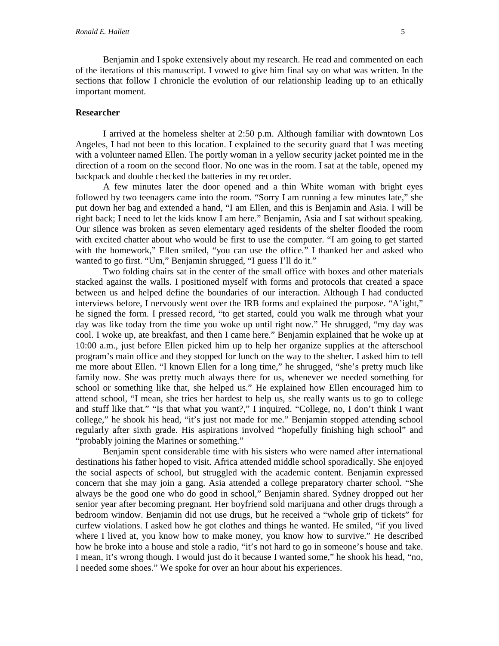Benjamin and I spoke extensively about my research. He read and commented on each of the iterations of this manuscript. I vowed to give him final say on what was written. In the sections that follow I chronicle the evolution of our relationship leading up to an ethically important moment.

# **Researcher**

I arrived at the homeless shelter at 2:50 p.m. Although familiar with downtown Los Angeles, I had not been to this location. I explained to the security guard that I was meeting with a volunteer named Ellen. The portly woman in a yellow security jacket pointed me in the direction of a room on the second floor. No one was in the room. I sat at the table, opened my backpack and double checked the batteries in my recorder.

A few minutes later the door opened and a thin White woman with bright eyes followed by two teenagers came into the room. "Sorry I am running a few minutes late," she put down her bag and extended a hand, "I am Ellen, and this is Benjamin and Asia. I will be right back; I need to let the kids know I am here." Benjamin, Asia and I sat without speaking. Our silence was broken as seven elementary aged residents of the shelter flooded the room with excited chatter about who would be first to use the computer. "I am going to get started with the homework," Ellen smiled, "you can use the office." I thanked her and asked who wanted to go first. "Um," Benjamin shrugged, "I guess I'll do it."

Two folding chairs sat in the center of the small office with boxes and other materials stacked against the walls. I positioned myself with forms and protocols that created a space between us and helped define the boundaries of our interaction. Although I had conducted interviews before, I nervously went over the IRB forms and explained the purpose. "A'ight," he signed the form. I pressed record, "to get started, could you walk me through what your day was like today from the time you woke up until right now." He shrugged, "my day was cool. I woke up, ate breakfast, and then I came here." Benjamin explained that he woke up at 10:00 a.m., just before Ellen picked him up to help her organize supplies at the afterschool program's main office and they stopped for lunch on the way to the shelter. I asked him to tell me more about Ellen. "I known Ellen for a long time," he shrugged, "she's pretty much like family now. She was pretty much always there for us, whenever we needed something for school or something like that, she helped us." He explained how Ellen encouraged him to attend school, "I mean, she tries her hardest to help us, she really wants us to go to college and stuff like that." "Is that what you want?," I inquired. "College, no, I don't think I want college," he shook his head, "it's just not made for me." Benjamin stopped attending school regularly after sixth grade. His aspirations involved "hopefully finishing high school" and "probably joining the Marines or something."

Benjamin spent considerable time with his sisters who were named after international destinations his father hoped to visit. Africa attended middle school sporadically. She enjoyed the social aspects of school, but struggled with the academic content. Benjamin expressed concern that she may join a gang. Asia attended a college preparatory charter school. "She always be the good one who do good in school," Benjamin shared. Sydney dropped out her senior year after becoming pregnant. Her boyfriend sold marijuana and other drugs through a bedroom window. Benjamin did not use drugs, but he received a "whole grip of tickets" for curfew violations. I asked how he got clothes and things he wanted. He smiled, "if you lived where I lived at, you know how to make money, you know how to survive." He described how he broke into a house and stole a radio, "it's not hard to go in someone's house and take. I mean, it's wrong though. I would just do it because I wanted some," he shook his head, "no, I needed some shoes." We spoke for over an hour about his experiences.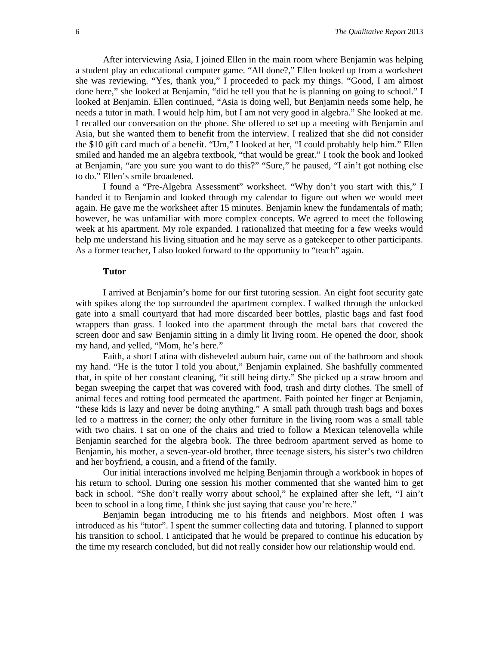After interviewing Asia, I joined Ellen in the main room where Benjamin was helping a student play an educational computer game. "All done?," Ellen looked up from a worksheet she was reviewing. "Yes, thank you," I proceeded to pack my things. "Good, I am almost done here," she looked at Benjamin, "did he tell you that he is planning on going to school." I looked at Benjamin. Ellen continued, "Asia is doing well, but Benjamin needs some help, he needs a tutor in math. I would help him, but I am not very good in algebra." She looked at me. I recalled our conversation on the phone. She offered to set up a meeting with Benjamin and Asia, but she wanted them to benefit from the interview. I realized that she did not consider the \$10 gift card much of a benefit. "Um," I looked at her, "I could probably help him." Ellen smiled and handed me an algebra textbook, "that would be great." I took the book and looked at Benjamin, "are you sure you want to do this?" "Sure," he paused, "I ain't got nothing else to do." Ellen's smile broadened.

I found a "Pre-Algebra Assessment" worksheet. "Why don't you start with this," I handed it to Benjamin and looked through my calendar to figure out when we would meet again. He gave me the worksheet after 15 minutes. Benjamin knew the fundamentals of math; however, he was unfamiliar with more complex concepts. We agreed to meet the following week at his apartment. My role expanded. I rationalized that meeting for a few weeks would help me understand his living situation and he may serve as a gatekeeper to other participants. As a former teacher, I also looked forward to the opportunity to "teach" again.

#### **Tutor**

I arrived at Benjamin's home for our first tutoring session. An eight foot security gate with spikes along the top surrounded the apartment complex. I walked through the unlocked gate into a small courtyard that had more discarded beer bottles, plastic bags and fast food wrappers than grass. I looked into the apartment through the metal bars that covered the screen door and saw Benjamin sitting in a dimly lit living room. He opened the door, shook my hand, and yelled, "Mom, he's here."

Faith, a short Latina with disheveled auburn hair, came out of the bathroom and shook my hand. "He is the tutor I told you about," Benjamin explained. She bashfully commented that, in spite of her constant cleaning, "it still being dirty." She picked up a straw broom and began sweeping the carpet that was covered with food, trash and dirty clothes. The smell of animal feces and rotting food permeated the apartment. Faith pointed her finger at Benjamin, "these kids is lazy and never be doing anything." A small path through trash bags and boxes led to a mattress in the corner; the only other furniture in the living room was a small table with two chairs. I sat on one of the chairs and tried to follow a Mexican telenovella while Benjamin searched for the algebra book. The three bedroom apartment served as home to Benjamin, his mother, a seven-year-old brother, three teenage sisters, his sister's two children and her boyfriend, a cousin, and a friend of the family.

Our initial interactions involved me helping Benjamin through a workbook in hopes of his return to school. During one session his mother commented that she wanted him to get back in school. "She don't really worry about school," he explained after she left, "I ain't been to school in a long time, I think she just saying that cause you're here."

Benjamin began introducing me to his friends and neighbors. Most often I was introduced as his "tutor". I spent the summer collecting data and tutoring. I planned to support his transition to school. I anticipated that he would be prepared to continue his education by the time my research concluded, but did not really consider how our relationship would end.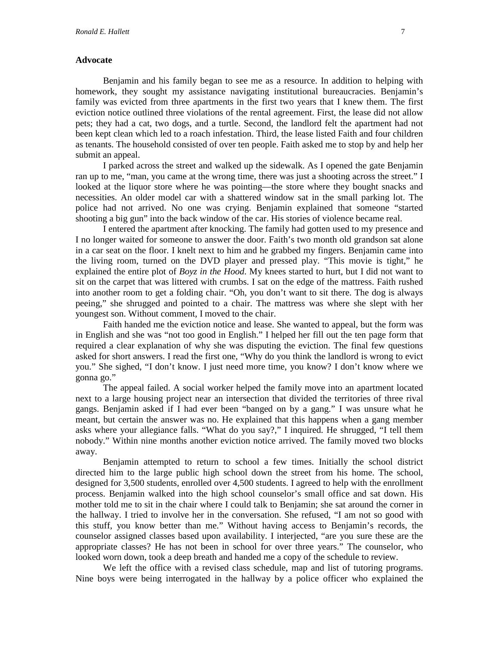# **Advocate**

Benjamin and his family began to see me as a resource. In addition to helping with homework, they sought my assistance navigating institutional bureaucracies. Benjamin's family was evicted from three apartments in the first two years that I knew them. The first eviction notice outlined three violations of the rental agreement. First, the lease did not allow pets; they had a cat, two dogs, and a turtle. Second, the landlord felt the apartment had not been kept clean which led to a roach infestation. Third, the lease listed Faith and four children as tenants. The household consisted of over ten people. Faith asked me to stop by and help her submit an appeal.

I parked across the street and walked up the sidewalk. As I opened the gate Benjamin ran up to me, "man, you came at the wrong time, there was just a shooting across the street." I looked at the liquor store where he was pointing—the store where they bought snacks and necessities. An older model car with a shattered window sat in the small parking lot. The police had not arrived. No one was crying. Benjamin explained that someone "started shooting a big gun" into the back window of the car. His stories of violence became real.

I entered the apartment after knocking. The family had gotten used to my presence and I no longer waited for someone to answer the door. Faith's two month old grandson sat alone in a car seat on the floor. I knelt next to him and he grabbed my fingers. Benjamin came into the living room, turned on the DVD player and pressed play. "This movie is tight," he explained the entire plot of *Boyz in the Hood*. My knees started to hurt, but I did not want to sit on the carpet that was littered with crumbs. I sat on the edge of the mattress. Faith rushed into another room to get a folding chair. "Oh, you don't want to sit there. The dog is always peeing," she shrugged and pointed to a chair. The mattress was where she slept with her youngest son. Without comment, I moved to the chair.

Faith handed me the eviction notice and lease. She wanted to appeal, but the form was in English and she was "not too good in English." I helped her fill out the ten page form that required a clear explanation of why she was disputing the eviction. The final few questions asked for short answers. I read the first one, "Why do you think the landlord is wrong to evict you." She sighed, "I don't know. I just need more time, you know? I don't know where we gonna go."

The appeal failed. A social worker helped the family move into an apartment located next to a large housing project near an intersection that divided the territories of three rival gangs. Benjamin asked if I had ever been "banged on by a gang." I was unsure what he meant, but certain the answer was no. He explained that this happens when a gang member asks where your allegiance falls. "What do you say?," I inquired. He shrugged, "I tell them nobody." Within nine months another eviction notice arrived. The family moved two blocks away.

Benjamin attempted to return to school a few times. Initially the school district directed him to the large public high school down the street from his home. The school, designed for 3,500 students, enrolled over 4,500 students. I agreed to help with the enrollment process. Benjamin walked into the high school counselor's small office and sat down. His mother told me to sit in the chair where I could talk to Benjamin; she sat around the corner in the hallway. I tried to involve her in the conversation. She refused, "I am not so good with this stuff, you know better than me." Without having access to Benjamin's records, the counselor assigned classes based upon availability. I interjected, "are you sure these are the appropriate classes? He has not been in school for over three years." The counselor, who looked worn down, took a deep breath and handed me a copy of the schedule to review.

We left the office with a revised class schedule, map and list of tutoring programs. Nine boys were being interrogated in the hallway by a police officer who explained the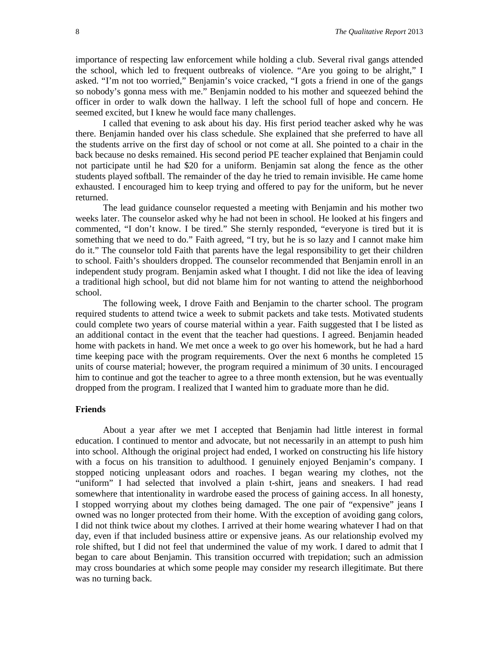importance of respecting law enforcement while holding a club. Several rival gangs attended the school, which led to frequent outbreaks of violence. "Are you going to be alright," I asked. "I'm not too worried," Benjamin's voice cracked, "I gots a friend in one of the gangs so nobody's gonna mess with me." Benjamin nodded to his mother and squeezed behind the officer in order to walk down the hallway. I left the school full of hope and concern. He seemed excited, but I knew he would face many challenges.

I called that evening to ask about his day. His first period teacher asked why he was there. Benjamin handed over his class schedule. She explained that she preferred to have all the students arrive on the first day of school or not come at all. She pointed to a chair in the back because no desks remained. His second period PE teacher explained that Benjamin could not participate until he had \$20 for a uniform. Benjamin sat along the fence as the other students played softball. The remainder of the day he tried to remain invisible. He came home exhausted. I encouraged him to keep trying and offered to pay for the uniform, but he never returned.

The lead guidance counselor requested a meeting with Benjamin and his mother two weeks later. The counselor asked why he had not been in school. He looked at his fingers and commented, "I don't know. I be tired." She sternly responded, "everyone is tired but it is something that we need to do." Faith agreed, "I try, but he is so lazy and I cannot make him do it." The counselor told Faith that parents have the legal responsibility to get their children to school. Faith's shoulders dropped. The counselor recommended that Benjamin enroll in an independent study program. Benjamin asked what I thought. I did not like the idea of leaving a traditional high school, but did not blame him for not wanting to attend the neighborhood school.

The following week, I drove Faith and Benjamin to the charter school. The program required students to attend twice a week to submit packets and take tests. Motivated students could complete two years of course material within a year. Faith suggested that I be listed as an additional contact in the event that the teacher had questions. I agreed. Benjamin headed home with packets in hand. We met once a week to go over his homework, but he had a hard time keeping pace with the program requirements. Over the next 6 months he completed 15 units of course material; however, the program required a minimum of 30 units. I encouraged him to continue and got the teacher to agree to a three month extension, but he was eventually dropped from the program. I realized that I wanted him to graduate more than he did.

# **Friends**

About a year after we met I accepted that Benjamin had little interest in formal education. I continued to mentor and advocate, but not necessarily in an attempt to push him into school. Although the original project had ended, I worked on constructing his life history with a focus on his transition to adulthood. I genuinely enjoyed Benjamin's company. I stopped noticing unpleasant odors and roaches. I began wearing my clothes, not the "uniform" I had selected that involved a plain t-shirt, jeans and sneakers. I had read somewhere that intentionality in wardrobe eased the process of gaining access. In all honesty, I stopped worrying about my clothes being damaged. The one pair of "expensive" jeans I owned was no longer protected from their home. With the exception of avoiding gang colors, I did not think twice about my clothes. I arrived at their home wearing whatever I had on that day, even if that included business attire or expensive jeans. As our relationship evolved my role shifted, but I did not feel that undermined the value of my work. I dared to admit that I began to care about Benjamin. This transition occurred with trepidation; such an admission may cross boundaries at which some people may consider my research illegitimate. But there was no turning back.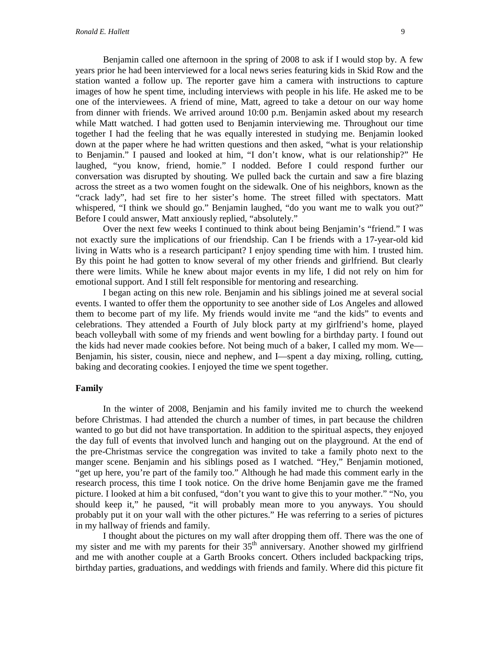Benjamin called one afternoon in the spring of 2008 to ask if I would stop by. A few years prior he had been interviewed for a local news series featuring kids in Skid Row and the station wanted a follow up. The reporter gave him a camera with instructions to capture images of how he spent time, including interviews with people in his life. He asked me to be one of the interviewees. A friend of mine, Matt, agreed to take a detour on our way home from dinner with friends. We arrived around 10:00 p.m. Benjamin asked about my research while Matt watched. I had gotten used to Benjamin interviewing me. Throughout our time together I had the feeling that he was equally interested in studying me. Benjamin looked down at the paper where he had written questions and then asked, "what is your relationship to Benjamin." I paused and looked at him, "I don't know, what is our relationship?" He laughed, "you know, friend, homie." I nodded. Before I could respond further our conversation was disrupted by shouting. We pulled back the curtain and saw a fire blazing across the street as a two women fought on the sidewalk. One of his neighbors, known as the "crack lady", had set fire to her sister's home. The street filled with spectators. Matt whispered, "I think we should go." Benjamin laughed, "do you want me to walk you out?" Before I could answer, Matt anxiously replied, "absolutely."

Over the next few weeks I continued to think about being Benjamin's "friend." I was not exactly sure the implications of our friendship. Can I be friends with a 17-year-old kid living in Watts who is a research participant? I enjoy spending time with him. I trusted him. By this point he had gotten to know several of my other friends and girlfriend. But clearly there were limits. While he knew about major events in my life, I did not rely on him for emotional support. And I still felt responsible for mentoring and researching.

I began acting on this new role. Benjamin and his siblings joined me at several social events. I wanted to offer them the opportunity to see another side of Los Angeles and allowed them to become part of my life. My friends would invite me "and the kids" to events and celebrations. They attended a Fourth of July block party at my girlfriend's home, played beach volleyball with some of my friends and went bowling for a birthday party. I found out the kids had never made cookies before. Not being much of a baker, I called my mom. We— Benjamin, his sister, cousin, niece and nephew, and I—spent a day mixing, rolling, cutting, baking and decorating cookies. I enjoyed the time we spent together.

#### **Family**

In the winter of 2008, Benjamin and his family invited me to church the weekend before Christmas. I had attended the church a number of times, in part because the children wanted to go but did not have transportation. In addition to the spiritual aspects, they enjoyed the day full of events that involved lunch and hanging out on the playground. At the end of the pre-Christmas service the congregation was invited to take a family photo next to the manger scene. Benjamin and his siblings posed as I watched. "Hey," Benjamin motioned, "get up here, you're part of the family too." Although he had made this comment early in the research process, this time I took notice. On the drive home Benjamin gave me the framed picture. I looked at him a bit confused, "don't you want to give this to your mother." "No, you should keep it," he paused, "it will probably mean more to you anyways. You should probably put it on your wall with the other pictures." He was referring to a series of pictures in my hallway of friends and family.

I thought about the pictures on my wall after dropping them off. There was the one of my sister and me with my parents for their 35<sup>th</sup> anniversary. Another showed my girlfriend and me with another couple at a Garth Brooks concert. Others included backpacking trips, birthday parties, graduations, and weddings with friends and family. Where did this picture fit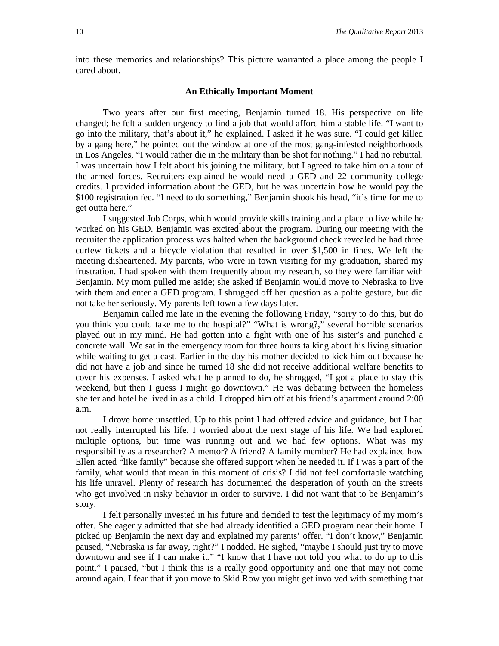into these memories and relationships? This picture warranted a place among the people I cared about.

# **An Ethically Important Moment**

Two years after our first meeting, Benjamin turned 18. His perspective on life changed; he felt a sudden urgency to find a job that would afford him a stable life. "I want to go into the military, that's about it," he explained. I asked if he was sure. "I could get killed by a gang here," he pointed out the window at one of the most gang-infested neighborhoods in Los Angeles, "I would rather die in the military than be shot for nothing." I had no rebuttal. I was uncertain how I felt about his joining the military, but I agreed to take him on a tour of the armed forces. Recruiters explained he would need a GED and 22 community college credits. I provided information about the GED, but he was uncertain how he would pay the \$100 registration fee. "I need to do something," Benjamin shook his head, "it's time for me to get outta here."

I suggested Job Corps, which would provide skills training and a place to live while he worked on his GED. Benjamin was excited about the program. During our meeting with the recruiter the application process was halted when the background check revealed he had three curfew tickets and a bicycle violation that resulted in over \$1,500 in fines. We left the meeting disheartened. My parents, who were in town visiting for my graduation, shared my frustration. I had spoken with them frequently about my research, so they were familiar with Benjamin. My mom pulled me aside; she asked if Benjamin would move to Nebraska to live with them and enter a GED program. I shrugged off her question as a polite gesture, but did not take her seriously. My parents left town a few days later.

Benjamin called me late in the evening the following Friday, "sorry to do this, but do you think you could take me to the hospital?" "What is wrong?," several horrible scenarios played out in my mind. He had gotten into a fight with one of his sister's and punched a concrete wall. We sat in the emergency room for three hours talking about his living situation while waiting to get a cast. Earlier in the day his mother decided to kick him out because he did not have a job and since he turned 18 she did not receive additional welfare benefits to cover his expenses. I asked what he planned to do, he shrugged, "I got a place to stay this weekend, but then I guess I might go downtown." He was debating between the homeless shelter and hotel he lived in as a child. I dropped him off at his friend's apartment around 2:00 a.m.

I drove home unsettled. Up to this point I had offered advice and guidance, but I had not really interrupted his life. I worried about the next stage of his life. We had explored multiple options, but time was running out and we had few options. What was my responsibility as a researcher? A mentor? A friend? A family member? He had explained how Ellen acted "like family" because she offered support when he needed it. If I was a part of the family, what would that mean in this moment of crisis? I did not feel comfortable watching his life unravel. Plenty of research has documented the desperation of youth on the streets who get involved in risky behavior in order to survive. I did not want that to be Benjamin's story.

I felt personally invested in his future and decided to test the legitimacy of my mom's offer. She eagerly admitted that she had already identified a GED program near their home. I picked up Benjamin the next day and explained my parents' offer. "I don't know," Benjamin paused, "Nebraska is far away, right?" I nodded. He sighed, "maybe I should just try to move downtown and see if I can make it." "I know that I have not told you what to do up to this point," I paused, "but I think this is a really good opportunity and one that may not come around again. I fear that if you move to Skid Row you might get involved with something that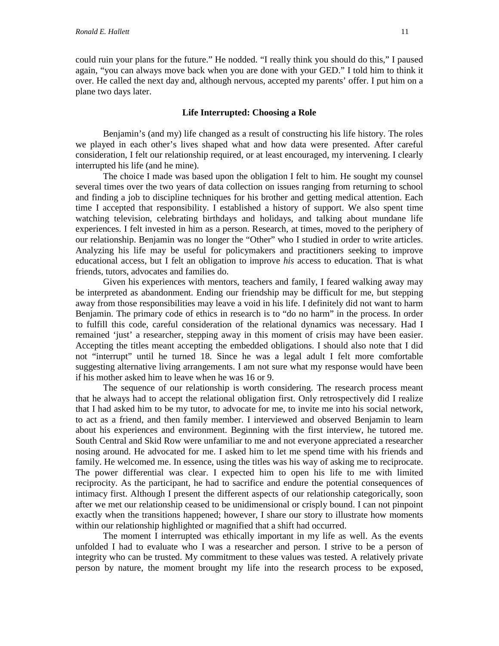could ruin your plans for the future." He nodded. "I really think you should do this," I paused again, "you can always move back when you are done with your GED." I told him to think it over. He called the next day and, although nervous, accepted my parents' offer. I put him on a plane two days later.

# **Life Interrupted: Choosing a Role**

Benjamin's (and my) life changed as a result of constructing his life history. The roles we played in each other's lives shaped what and how data were presented. After careful consideration, I felt our relationship required, or at least encouraged, my intervening. I clearly interrupted his life (and he mine).

The choice I made was based upon the obligation I felt to him. He sought my counsel several times over the two years of data collection on issues ranging from returning to school and finding a job to discipline techniques for his brother and getting medical attention. Each time I accepted that responsibility. I established a history of support. We also spent time watching television, celebrating birthdays and holidays, and talking about mundane life experiences. I felt invested in him as a person. Research, at times, moved to the periphery of our relationship. Benjamin was no longer the "Other" who I studied in order to write articles. Analyzing his life may be useful for policymakers and practitioners seeking to improve educational access, but I felt an obligation to improve *his* access to education. That is what friends, tutors, advocates and families do.

Given his experiences with mentors, teachers and family, I feared walking away may be interpreted as abandonment. Ending our friendship may be difficult for me, but stepping away from those responsibilities may leave a void in his life. I definitely did not want to harm Benjamin. The primary code of ethics in research is to "do no harm" in the process. In order to fulfill this code, careful consideration of the relational dynamics was necessary. Had I remained 'just' a researcher, stepping away in this moment of crisis may have been easier. Accepting the titles meant accepting the embedded obligations. I should also note that I did not "interrupt" until he turned 18. Since he was a legal adult I felt more comfortable suggesting alternative living arrangements. I am not sure what my response would have been if his mother asked him to leave when he was 16 or 9.

The sequence of our relationship is worth considering. The research process meant that he always had to accept the relational obligation first. Only retrospectively did I realize that I had asked him to be my tutor, to advocate for me, to invite me into his social network, to act as a friend, and then family member. I interviewed and observed Benjamin to learn about his experiences and environment. Beginning with the first interview, he tutored me. South Central and Skid Row were unfamiliar to me and not everyone appreciated a researcher nosing around. He advocated for me. I asked him to let me spend time with his friends and family. He welcomed me. In essence, using the titles was his way of asking me to reciprocate. The power differential was clear. I expected him to open his life to me with limited reciprocity. As the participant, he had to sacrifice and endure the potential consequences of intimacy first. Although I present the different aspects of our relationship categorically, soon after we met our relationship ceased to be unidimensional or crisply bound. I can not pinpoint exactly when the transitions happened; however, I share our story to illustrate how moments within our relationship highlighted or magnified that a shift had occurred.

The moment I interrupted was ethically important in my life as well. As the events unfolded I had to evaluate who I was a researcher and person. I strive to be a person of integrity who can be trusted. My commitment to these values was tested. A relatively private person by nature, the moment brought my life into the research process to be exposed,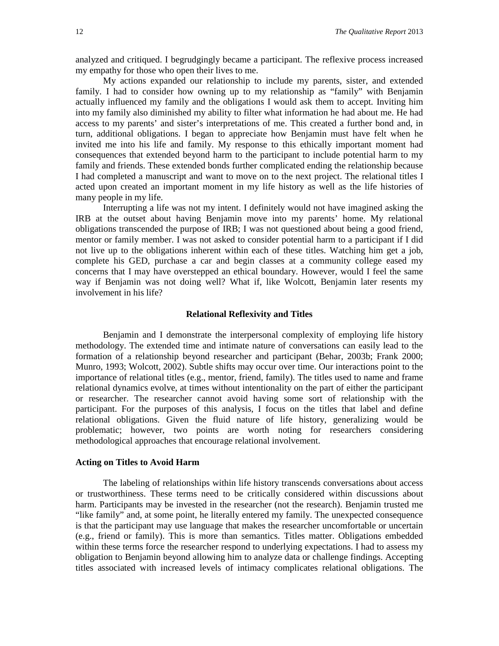analyzed and critiqued. I begrudgingly became a participant. The reflexive process increased my empathy for those who open their lives to me.

My actions expanded our relationship to include my parents, sister, and extended family. I had to consider how owning up to my relationship as "family" with Benjamin actually influenced my family and the obligations I would ask them to accept. Inviting him into my family also diminished my ability to filter what information he had about me. He had access to my parents' and sister's interpretations of me. This created a further bond and, in turn, additional obligations. I began to appreciate how Benjamin must have felt when he invited me into his life and family. My response to this ethically important moment had consequences that extended beyond harm to the participant to include potential harm to my family and friends. These extended bonds further complicated ending the relationship because I had completed a manuscript and want to move on to the next project. The relational titles I acted upon created an important moment in my life history as well as the life histories of many people in my life.

Interrupting a life was not my intent. I definitely would not have imagined asking the IRB at the outset about having Benjamin move into my parents' home. My relational obligations transcended the purpose of IRB; I was not questioned about being a good friend, mentor or family member. I was not asked to consider potential harm to a participant if I did not live up to the obligations inherent within each of these titles. Watching him get a job, complete his GED, purchase a car and begin classes at a community college eased my concerns that I may have overstepped an ethical boundary. However, would I feel the same way if Benjamin was not doing well? What if, like Wolcott, Benjamin later resents my involvement in his life?

# **Relational Reflexivity and Titles**

Benjamin and I demonstrate the interpersonal complexity of employing life history methodology. The extended time and intimate nature of conversations can easily lead to the formation of a relationship beyond researcher and participant (Behar, 2003b; Frank 2000; Munro, 1993; Wolcott, 2002). Subtle shifts may occur over time. Our interactions point to the importance of relational titles (e.g., mentor, friend, family). The titles used to name and frame relational dynamics evolve, at times without intentionality on the part of either the participant or researcher. The researcher cannot avoid having some sort of relationship with the participant. For the purposes of this analysis, I focus on the titles that label and define relational obligations. Given the fluid nature of life history, generalizing would be problematic; however, two points are worth noting for researchers considering methodological approaches that encourage relational involvement.

# **Acting on Titles to Avoid Harm**

The labeling of relationships within life history transcends conversations about access or trustworthiness. These terms need to be critically considered within discussions about harm. Participants may be invested in the researcher (not the research). Benjamin trusted me "like family" and, at some point, he literally entered my family. The unexpected consequence is that the participant may use language that makes the researcher uncomfortable or uncertain (e.g., friend or family). This is more than semantics. Titles matter. Obligations embedded within these terms force the researcher respond to underlying expectations. I had to assess my obligation to Benjamin beyond allowing him to analyze data or challenge findings. Accepting titles associated with increased levels of intimacy complicates relational obligations. The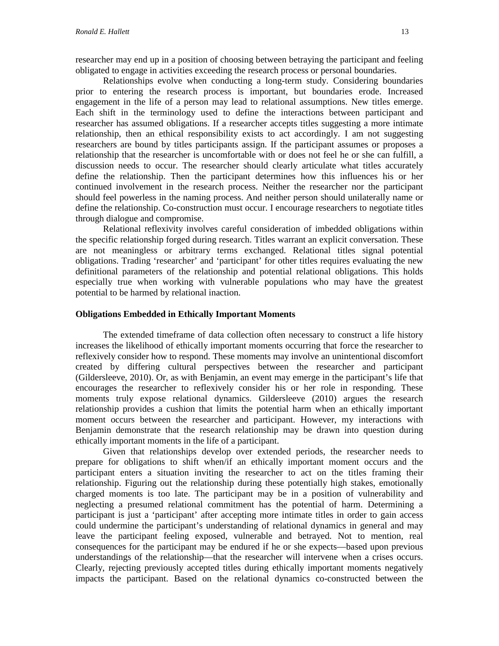Relationships evolve when conducting a long-term study. Considering boundaries prior to entering the research process is important, but boundaries erode. Increased engagement in the life of a person may lead to relational assumptions. New titles emerge. Each shift in the terminology used to define the interactions between participant and researcher has assumed obligations. If a researcher accepts titles suggesting a more intimate relationship, then an ethical responsibility exists to act accordingly. I am not suggesting researchers are bound by titles participants assign. If the participant assumes or proposes a relationship that the researcher is uncomfortable with or does not feel he or she can fulfill, a discussion needs to occur. The researcher should clearly articulate what titles accurately define the relationship. Then the participant determines how this influences his or her continued involvement in the research process. Neither the researcher nor the participant should feel powerless in the naming process. And neither person should unilaterally name or define the relationship. Co-construction must occur. I encourage researchers to negotiate titles through dialogue and compromise.

Relational reflexivity involves careful consideration of imbedded obligations within the specific relationship forged during research. Titles warrant an explicit conversation. These are not meaningless or arbitrary terms exchanged. Relational titles signal potential obligations. Trading 'researcher' and 'participant' for other titles requires evaluating the new definitional parameters of the relationship and potential relational obligations. This holds especially true when working with vulnerable populations who may have the greatest potential to be harmed by relational inaction.

# **Obligations Embedded in Ethically Important Moments**

The extended timeframe of data collection often necessary to construct a life history increases the likelihood of ethically important moments occurring that force the researcher to reflexively consider how to respond. These moments may involve an unintentional discomfort created by differing cultural perspectives between the researcher and participant (Gildersleeve, 2010). Or, as with Benjamin, an event may emerge in the participant's life that encourages the researcher to reflexively consider his or her role in responding. These moments truly expose relational dynamics. Gildersleeve (2010) argues the research relationship provides a cushion that limits the potential harm when an ethically important moment occurs between the researcher and participant. However, my interactions with Benjamin demonstrate that the research relationship may be drawn into question during ethically important moments in the life of a participant.

Given that relationships develop over extended periods, the researcher needs to prepare for obligations to shift when/if an ethically important moment occurs and the participant enters a situation inviting the researcher to act on the titles framing their relationship. Figuring out the relationship during these potentially high stakes, emotionally charged moments is too late. The participant may be in a position of vulnerability and neglecting a presumed relational commitment has the potential of harm. Determining a participant is just a 'participant' after accepting more intimate titles in order to gain access could undermine the participant's understanding of relational dynamics in general and may leave the participant feeling exposed, vulnerable and betrayed. Not to mention, real consequences for the participant may be endured if he or she expects—based upon previous understandings of the relationship—that the researcher will intervene when a crises occurs. Clearly, rejecting previously accepted titles during ethically important moments negatively impacts the participant. Based on the relational dynamics co-constructed between the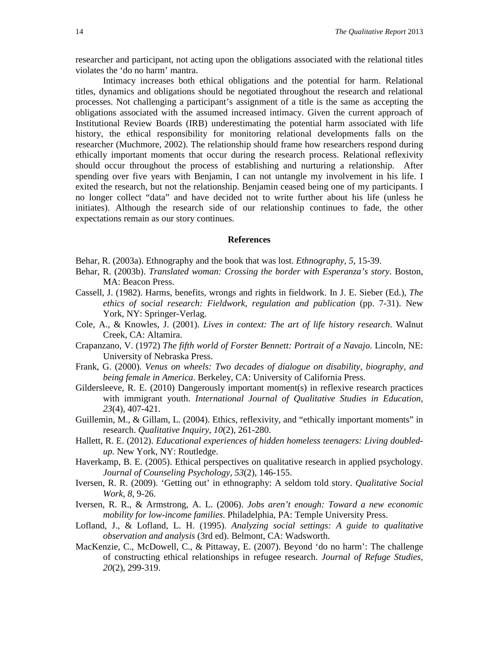researcher and participant, not acting upon the obligations associated with the relational titles violates the 'do no harm' mantra.

Intimacy increases both ethical obligations and the potential for harm. Relational titles, dynamics and obligations should be negotiated throughout the research and relational processes. Not challenging a participant's assignment of a title is the same as accepting the obligations associated with the assumed increased intimacy. Given the current approach of Institutional Review Boards (IRB) underestimating the potential harm associated with life history, the ethical responsibility for monitoring relational developments falls on the researcher (Muchmore, 2002). The relationship should frame how researchers respond during ethically important moments that occur during the research process. Relational reflexivity should occur throughout the process of establishing and nurturing a relationship. After spending over five years with Benjamin, I can not untangle my involvement in his life. I exited the research, but not the relationship. Benjamin ceased being one of my participants. I no longer collect "data" and have decided not to write further about his life (unless he initiates). Although the research side of our relationship continues to fade, the other expectations remain as our story continues.

#### **References**

Behar, R. (2003a). Ethnography and the book that was lost. *Ethnography, 5*, 15-39.

- Behar, R. (2003b). *Translated woman: Crossing the border with Esperanza's story*. Boston, MA: Beacon Press.
- Cassell, J. (1982). Harms, benefits, wrongs and rights in fieldwork. In J. E. Sieber (Ed.), *The ethics of social research: Fieldwork, regulation and publication* (pp. 7-31). New York, NY: Springer-Verlag.
- Cole, A., & Knowles, J. (2001). *Lives in context: The art of life history research*. Walnut Creek, CA: Altamira.
- Crapanzano, V. (1972) *The fifth world of Forster Bennett: Portrait of a Navajo*. Lincoln, NE: University of Nebraska Press.
- Frank, G. (2000). *Venus on wheels: Two decades of dialogue on disability, biography, and being female in America*. Berkeley, CA: University of California Press.
- Gildersleeve, R. E. (2010) Dangerously important moment(s) in reflexive research practices with immigrant youth. *International Journal of Qualitative Studies in Education, 23*(4), 407-421.
- Guillemin, M., & Gillam, L. (2004). Ethics, reflexivity, and "ethically important moments" in research. *Qualitative Inquiry, 10*(2), 261-280.
- Hallett, R. E. (2012). *Educational experiences of hidden homeless teenagers: Living doubledup.* New York, NY: Routledge.
- Haverkamp, B. E. (2005). Ethical perspectives on qualitative research in applied psychology. *Journal of Counseling Psychology, 53*(2), 146-155.
- Iversen, R. R. (2009). 'Getting out' in ethnography: A seldom told story. *Qualitative Social Work*, *8*, 9-26.
- Iversen, R. R., & Armstrong, A. L. (2006). *Jobs aren't enough: Toward a new economic mobility for low-income families.* Philadelphia, PA: Temple University Press.
- Lofland, J., & Lofland, L. H. (1995). *Analyzing social settings: A guide to qualitative observation and analysis* (3rd ed). Belmont, CA: Wadsworth.
- MacKenzie, C., McDowell, C., & Pittaway, E. (2007). Beyond 'do no harm': The challenge of constructing ethical relationships in refugee research. *Journal of Refuge Studies, 20*(2), 299-319.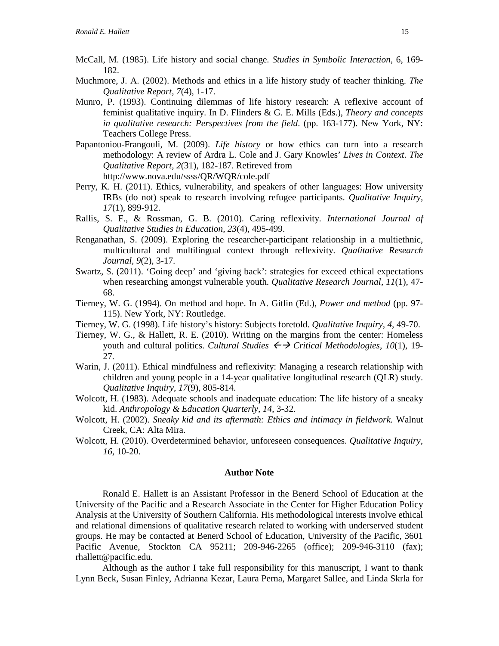- McCall, M. (1985). Life history and social change. *Studies in Symbolic Interaction*, 6, 169- 182.
- Muchmore, J. A. (2002). Methods and ethics in a life history study of teacher thinking. *The Qualitative Report, 7*(4), 1-17.
- Munro, P. (1993). Continuing dilemmas of life history research: A reflexive account of feminist qualitative inquiry. In D. Flinders & G. E. Mills (Eds.), *Theory and concepts in qualitative research: Perspectives from the field*. (pp. 163-177). New York, NY: Teachers College Press.
- Papantoniou-Frangouli, M. (2009). *Life history* or how ethics can turn into a research methodology: A review of Ardra L. Cole and J. Gary Knowles' *Lives in Context*. *The Qualitative Report, 2*(31), 182-187. Retireved from http://www.nova.edu/ssss/QR/WQR/cole.pdf
- Perry, K. H. (2011). Ethics, vulnerability, and speakers of other languages: How university IRBs (do not) speak to research involving refugee participants. *Qualitative Inquiry, 17*(1), 899-912.
- Rallis, S. F., & Rossman, G. B. (2010). Caring reflexivity. *International Journal of Qualitative Studies in Education, 23*(4), 495-499.
- Renganathan, S. (2009). Exploring the researcher-participant relationship in a multiethnic, multicultural and multilingual context through reflexivity. *Qualitative Research Journal, 9*(2), 3-17.
- Swartz, S. (2011). 'Going deep' and 'giving back': strategies for exceed ethical expectations when researching amongst vulnerable youth. *Qualitative Research Journal, 11*(1), 47- 68.
- Tierney, W. G. (1994). On method and hope. In A. Gitlin (Ed.), *Power and method* (pp. 97- 115). New York, NY: Routledge.
- Tierney, W. G. (1998). Life history's history: Subjects foretold. *Qualitative Inquiry, 4,* 49-70.
- Tierney, W. G., & Hallett, R. E. (2010). Writing on the margins from the center: Homeless youth and cultural politics. *Cultural Studies*  $\leftrightarrow$  *Critical Methodologies, 10*(1), 19-27*.*
- Warin, J. (2011). Ethical mindfulness and reflexivity: Managing a research relationship with children and young people in a 14-year qualitative longitudinal research (QLR) study. *Qualitative Inquiry, 17*(9), 805-814.
- Wolcott, H. (1983). Adequate schools and inadequate education: The life history of a sneaky kid. *Anthropology & Education Quarterly, 14*, 3-32.
- Wolcott, H. (2002). *Sneaky kid and its aftermath: Ethics and intimacy in fieldwork.* Walnut Creek, CA: Alta Mira.
- Wolcott, H. (2010). Overdetermined behavior, unforeseen consequences. *Qualitative Inquiry, 16,* 10-20.

#### **Author Note**

Ronald E. Hallett is an Assistant Professor in the Benerd School of Education at the University of the Pacific and a Research Associate in the Center for Higher Education Policy Analysis at the University of Southern California. His methodological interests involve ethical and relational dimensions of qualitative research related to working with underserved student groups. He may be contacted at Benerd School of Education, University of the Pacific, 3601 Pacific Avenue, Stockton CA 95211; 209-946-2265 (office); 209-946-3110 (fax); rhallett@pacific.edu.

Although as the author I take full responsibility for this manuscript, I want to thank Lynn Beck, Susan Finley, Adrianna Kezar, Laura Perna, Margaret Sallee, and Linda Skrla for